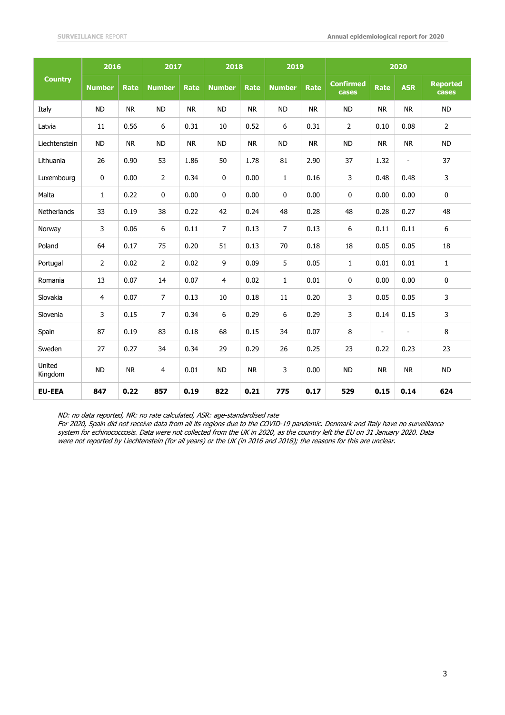| <b>Country</b>     | 2016           |             | 2017           |             | 2018           |             | 2019           |           | 2020                      |                |                          |                          |
|--------------------|----------------|-------------|----------------|-------------|----------------|-------------|----------------|-----------|---------------------------|----------------|--------------------------|--------------------------|
|                    | <b>Number</b>  | <b>Rate</b> | <b>Number</b>  | <b>Rate</b> | <b>Number</b>  | <b>Rate</b> | <b>Number</b>  | Rate      | <b>Confirmed</b><br>cases | <b>Rate</b>    | <b>ASR</b>               | <b>Reported</b><br>cases |
| Italy              | <b>ND</b>      | <b>NR</b>   | <b>ND</b>      | <b>NR</b>   | <b>ND</b>      | <b>NR</b>   | <b>ND</b>      | <b>NR</b> | <b>ND</b>                 | <b>NR</b>      | <b>NR</b>                | <b>ND</b>                |
| Latvia             | 11             | 0.56        | 6              | 0.31        | 10             | 0.52        | 6              | 0.31      | $\overline{2}$            | 0.10           | 0.08                     | $\overline{2}$           |
| Liechtenstein      | <b>ND</b>      | <b>NR</b>   | <b>ND</b>      | <b>NR</b>   | <b>ND</b>      | <b>NR</b>   | <b>ND</b>      | <b>NR</b> | <b>ND</b>                 | <b>NR</b>      | <b>NR</b>                | <b>ND</b>                |
| Lithuania          | 26             | 0.90        | 53             | 1.86        | 50             | 1.78        | 81             | 2.90      | 37                        | 1.32           | $\overline{\phantom{0}}$ | 37                       |
| Luxembourg         | 0              | 0.00        | 2              | 0.34        | 0              | 0.00        | 1              | 0.16      | 3                         | 0.48           | 0.48                     | 3                        |
| Malta              | $\mathbf{1}$   | 0.22        | 0              | 0.00        | $\mathbf 0$    | 0.00        | 0              | 0.00      | 0                         | 0.00           | 0.00                     | $\mathbf 0$              |
| <b>Netherlands</b> | 33             | 0.19        | 38             | 0.22        | 42             | 0.24        | 48             | 0.28      | 48                        | 0.28           | 0.27                     | 48                       |
| Norway             | 3              | 0.06        | 6              | 0.11        | $\overline{7}$ | 0.13        | $\overline{7}$ | 0.13      | 6                         | 0.11           | 0.11                     | 6                        |
| Poland             | 64             | 0.17        | 75             | 0.20        | 51             | 0.13        | 70             | 0.18      | 18                        | 0.05           | 0.05                     | 18                       |
| Portugal           | $\overline{2}$ | 0.02        | $\overline{2}$ | 0.02        | 9              | 0.09        | 5              | 0.05      | 1                         | 0.01           | 0.01                     | $\mathbf{1}$             |
| Romania            | 13             | 0.07        | 14             | 0.07        | $\overline{4}$ | 0.02        | $\mathbf{1}$   | 0.01      | 0                         | 0.00           | 0.00                     | $\mathbf 0$              |
| Slovakia           | 4              | 0.07        | $\overline{7}$ | 0.13        | 10             | 0.18        | 11             | 0.20      | 3                         | 0.05           | 0.05                     | 3                        |
| Slovenia           | 3              | 0.15        | 7              | 0.34        | 6              | 0.29        | 6              | 0.29      | 3                         | 0.14           | 0.15                     | 3                        |
| Spain              | 87             | 0.19        | 83             | 0.18        | 68             | 0.15        | 34             | 0.07      | 8                         | $\blacksquare$ | $\overline{\phantom{0}}$ | 8                        |
| Sweden             | 27             | 0.27        | 34             | 0.34        | 29             | 0.29        | 26             | 0.25      | 23                        | 0.22           | 0.23                     | 23                       |
| United<br>Kingdom  | <b>ND</b>      | <b>NR</b>   | 4              | 0.01        | <b>ND</b>      | <b>NR</b>   | 3              | 0.00      | <b>ND</b>                 | ${\sf NR}$     | <b>NR</b>                | <b>ND</b>                |
| <b>EU-EEA</b>      | 847            | 0.22        | 857            | 0.19        | 822            | 0.21        | 775            | 0.17      | 529                       | 0.15           | 0.14                     | 624                      |

ND: no data reported, NR: no rate calculated, ASR: age-standardised rate

For 2020, Spain did not receive data from all its regions due to the COVID-19 pandemic. Denmark and Italy have no surveillance system for echinococcosis. Data were not collected from the UK in 2020, as the country left the EU on 31 January 2020. Data were not reported by Liechtenstein (for all years) or the UK (in 2016 and 2018); the reasons for this are unclear.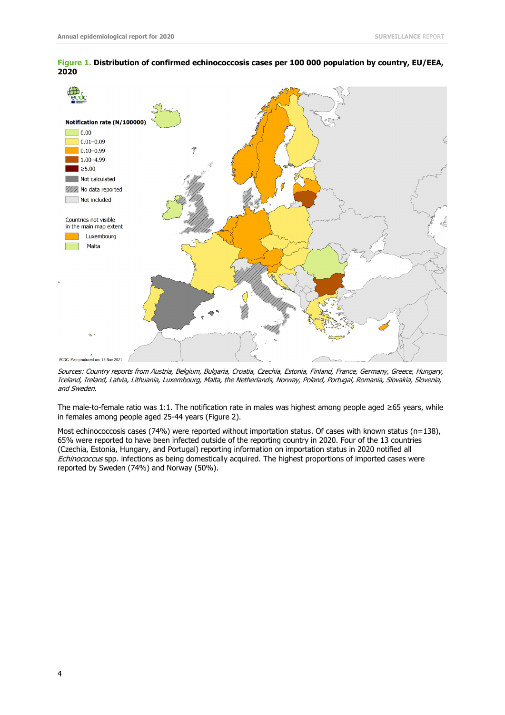

## **Figure 1. Distribution of confirmed echinococcosis cases per 100 000 population by country, EU/EEA, 2020**

Sources: Country reports from Austria, Belgium, Bulgaria, Croatia, Czechia, Estonia, Finland, France, Germany, Greece, Hungary, Iceland, Ireland, Latvia, Lithuania, Luxembourg, Malta, the Netherlands, Norway, Poland, Portugal, Romania, Slovakia, Slovenia, and Sweden.

The male-to-female ratio was 1:1. The notification rate in males was highest among people aged ≥65 years, while in females among people aged 25-44 years (Figure 2).

Most echinococcosis cases (74%) were reported without importation status. Of cases with known status (n=138), 65% were reported to have been infected outside of the reporting country in 2020. Four of the 13 countries (Czechia, Estonia, Hungary, and Portugal) reporting information on importation status in 2020 notified all Echinococcus spp. infections as being domestically acquired. The highest proportions of imported cases were reported by Sweden (74%) and Norway (50%).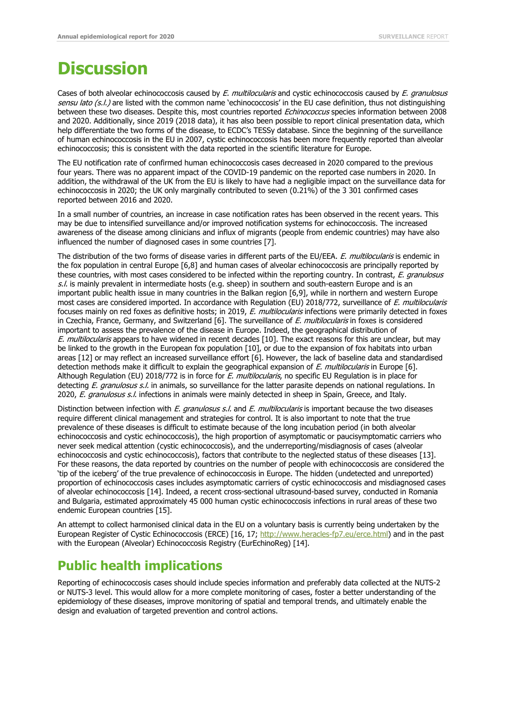## **Discussion**

Cases of both alveolar echinococcosis caused by E. multilocularis and cystic echinococcosis caused by E. granulosus sensu lato (s.l.) are listed with the common name 'echinococcosis' in the EU case definition, thus not distinguishing between these two diseases. Despite this, most countries reported Echinococcus species information between 2008 and 2020. Additionally, since 2019 (2018 data), it has also been possible to report clinical presentation data, which help differentiate the two forms of the disease, to ECDC's TESSy database. Since the beginning of the surveillance of human echinococcosis in the EU in 2007, cystic echinococcosis has been more frequently reported than alveolar echinococcosis; this is consistent with the data reported in the scientific literature for Europe.

The EU notification rate of confirmed human echinococcosis cases decreased in 2020 compared to the previous four years. There was no apparent impact of the COVID-19 pandemic on the reported case numbers in 2020. In addition, the withdrawal of the UK from the EU is likely to have had a negligible impact on the surveillance data for echinococcosis in 2020; the UK only marginally contributed to seven (0.21%) of the 3 301 confirmed cases reported between 2016 and 2020.

In a small number of countries, an increase in case notification rates has been observed in the recent years. This may be due to intensified surveillance and/or improved notification systems for echinococcosis. The increased awareness of the disease among clinicians and influx of migrants (people from endemic countries) may have also influenced the number of diagnosed cases in some countries [7].

The distribution of the two forms of disease varies in different parts of the EU/EEA. E. multilocularis is endemic in the fox population in central Europe [6,8] and human cases of alveolar echinococcosis are principally reported by these countries, with most cases considered to be infected within the reporting country. In contrast, E. granulosus  $s.l.$  is mainly prevalent in intermediate hosts (e.g. sheep) in southern and south-eastern Europe and is an important public health issue in many countries in the Balkan region [6,9], while in northern and western Europe most cases are considered imported. In accordance with Regulation (EU) 2018/772, surveillance of E. multilocularis focuses mainly on red foxes as definitive hosts; in 2019, E. multilocularis infections were primarily detected in foxes in Czechia, France, Germany, and Switzerland [6]. The surveillance of E. multilocularis in foxes is considered important to assess the prevalence of the disease in Europe. Indeed, the geographical distribution of E. multilocularis appears to have widened in recent decades [10]. The exact reasons for this are unclear, but may be linked to the growth in the European fox population [10], or due to the expansion of fox habitats into urban areas [12] or may reflect an increased surveillance effort [6]. However, the lack of baseline data and standardised detection methods make it difficult to explain the geographical expansion of E. multilocularis in Europe [6]. Although Regulation (EU) 2018/772 is in force for E. multilocularis, no specific EU Regulation is in place for detecting E. granulosus s.l. in animals, so surveillance for the latter parasite depends on national regulations. In 2020, E. granulosus s.l. infections in animals were mainly detected in sheep in Spain, Greece, and Italy.

Distinction between infection with E. granulosus s.l. and E. multilocularis is important because the two diseases require different clinical management and strategies for control. It is also important to note that the true prevalence of these diseases is difficult to estimate because of the long incubation period (in both alveolar echinococcosis and cystic echinococcosis), the high proportion of asymptomatic or paucisymptomatic carriers who never seek medical attention (cystic echinococcosis), and the underreporting/misdiagnosis of cases (alveolar echinococcosis and cystic echinococcosis), factors that contribute to the neglected status of these diseases [13]. For these reasons, the data reported by countries on the number of people with echinococcosis are considered the 'tip of the iceberg' of the true prevalence of echinococcosis in Europe. The hidden (undetected and unreported) proportion of echinococcosis cases includes asymptomatic carriers of cystic echinococcosis and misdiagnosed cases of alveolar echinococcosis [14]. Indeed, a recent cross-sectional ultrasound-based survey, conducted in Romania and Bulgaria, estimated approximately 45 000 human cystic echinococcosis infections in rural areas of these two endemic European countries [15].

An attempt to collect harmonised clinical data in the EU on a voluntary basis is currently being undertaken by the European Register of Cystic Echinococcosis (ERCE) [16, 17]; <http://www.heracles-fp7.eu/erce.html>) and in the past with the European (Alveolar) Echinococcosis Registry (EurEchinoReg) [14].

## **Public health implications**

Reporting of echinococcosis cases should include species information and preferably data collected at the NUTS-2 or NUTS-3 level. This would allow for a more complete monitoring of cases, foster a better understanding of the epidemiology of these diseases, improve monitoring of spatial and temporal trends, and ultimately enable the design and evaluation of targeted prevention and control actions.